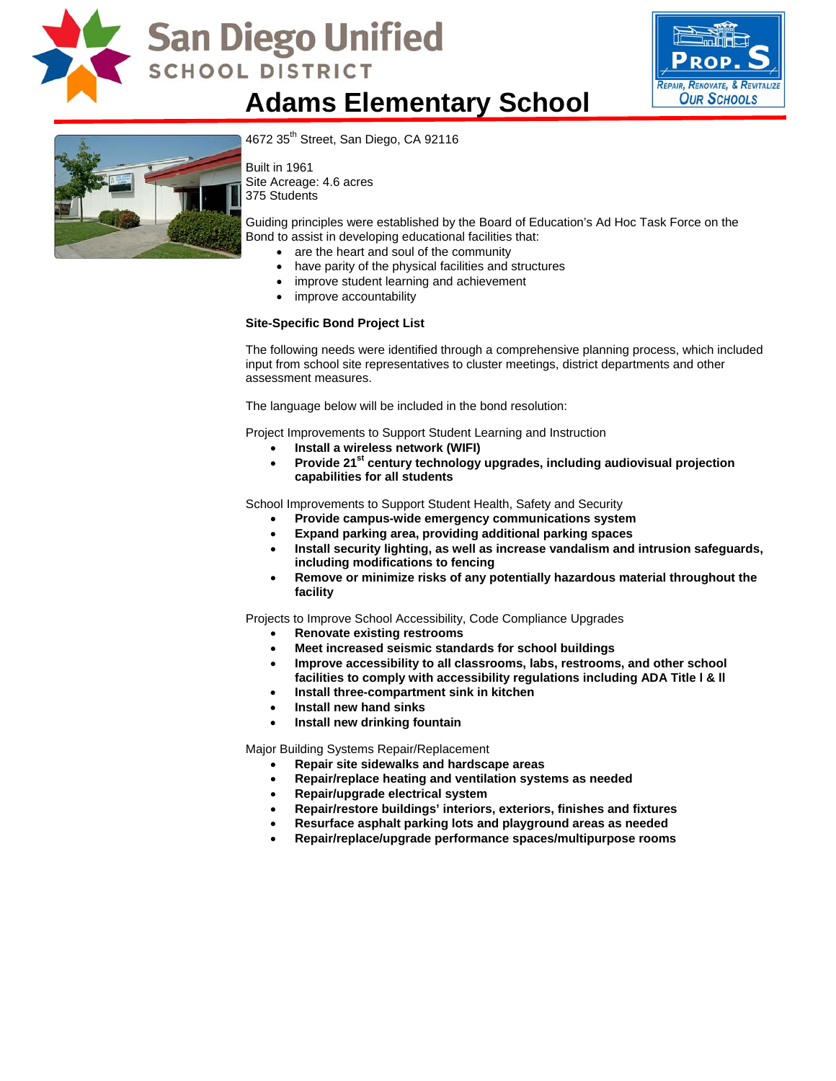

**San Diego Unified SCHOOL DISTRICT** 

## **Adams Elementary School**





4672 35<sup>th</sup> Street, San Diego, CA 92116

Built in 1961 Site Acreage: 4.6 acres 375 Students

Guiding principles were established by the Board of Education's Ad Hoc Task Force on the Bond to assist in developing educational facilities that:

- are the heart and soul of the community
- have parity of the physical facilities and structures
- improve student learning and achievement
- improve accountability

#### **Site-Specific Bond Project List**

The following needs were identified through a comprehensive planning process, which included input from school site representatives to cluster meetings, district departments and other assessment measures.

The language below will be included in the bond resolution:

Project Improvements to Support Student Learning and Instruction

- **Install a wireless network (WIFI)**
- **Provide 21st century technology upgrades, including audiovisual projection capabilities for all students**

School Improvements to Support Student Health, Safety and Security

- **Provide campus-wide emergency communications system**
- **Expand parking area, providing additional parking spaces**
- **Install security lighting, as well as increase vandalism and intrusion safeguards, including modifications to fencing**
- **Remove or minimize risks of any potentially hazardous material throughout the facility**

Projects to Improve School Accessibility, Code Compliance Upgrades

- **Renovate existing restrooms**
- **Meet increased seismic standards for school buildings**
- **Improve accessibility to all classrooms, labs, restrooms, and other school facilities to comply with accessibility regulations including ADA Title l & ll**
- **Install three-compartment sink in kitchen**
- **Install new hand sinks**
- **Install new drinking fountain**

Major Building Systems Repair/Replacement

- **Repair site sidewalks and hardscape areas**
- **Repair/replace heating and ventilation systems as needed**
- **Repair/upgrade electrical system**
- **Repair/restore buildings' interiors, exteriors, finishes and fixtures**
- **Resurface asphalt parking lots and playground areas as needed**
- **Repair/replace/upgrade performance spaces/multipurpose rooms**